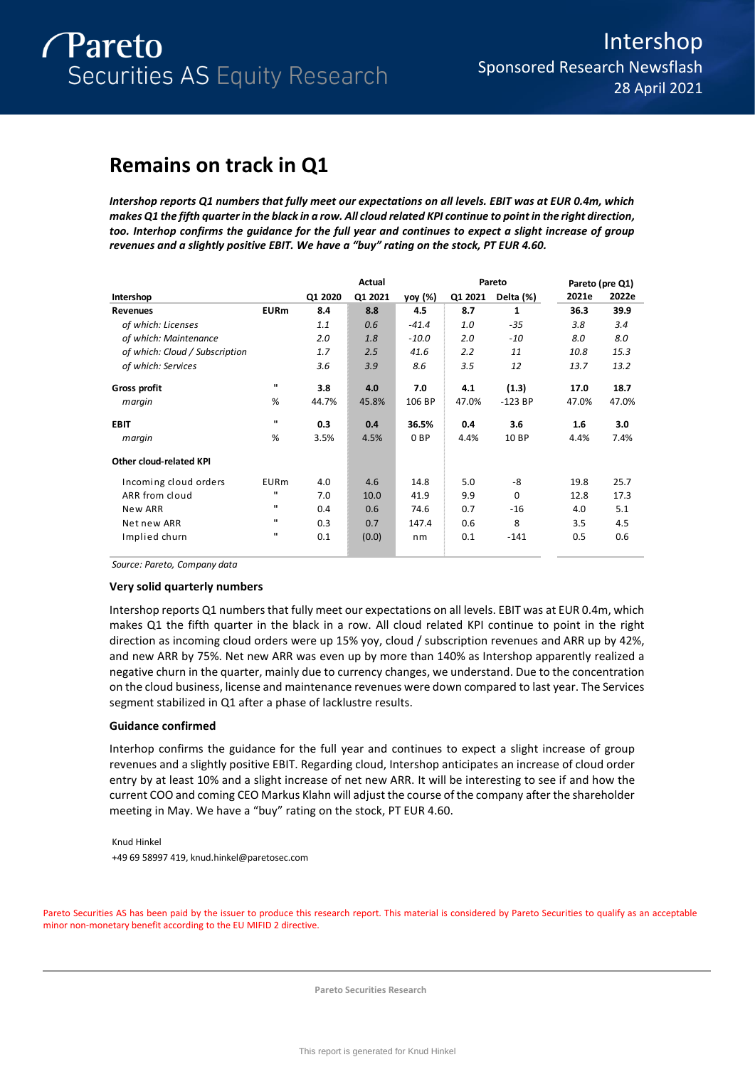# **Remains on track in Q1**

*Intershop reports Q1 numbers that fully meet our expectations on all levels. EBIT was at EUR 0.4m, which makes Q1 the fifth quarter in the black in a row. All cloud related KPI continue to point in the right direction, too. Interhop confirms the guidance for the full year and continues to expect a slight increase of group revenues and a slightly positive EBIT. We have a "buy" rating on the stock, PT EUR 4.60.* 

|                                |              |         | Actual  |                 |         | Pareto    |       | Pareto (pre Q1) |
|--------------------------------|--------------|---------|---------|-----------------|---------|-----------|-------|-----------------|
| Intershop                      |              | Q1 2020 | Q1 2021 | yoy (%)         | Q1 2021 | Delta (%) | 2021e | 2022e           |
| <b>Revenues</b>                | <b>EURm</b>  | 8.4     | 8.8     | 4.5             | 8.7     | 1         | 36.3  | 39.9            |
| of which: Licenses             |              | 1.1     | 0.6     | $-41.4$         | 1.0     | $-35$     | 3.8   | 3.4             |
| of which: Maintenance          |              | 2.0     | 1.8     | $-10.0$         | 2.0     | $-10$     | 8.0   | 8.0             |
| of which: Cloud / Subscription |              | 1.7     | 2.5     | 41.6            | 2.2     | 11        | 10.8  | 15.3            |
| of which: Services             |              | 3.6     | 3.9     | 8.6             | 3.5     | 12        | 13.7  | 13.2            |
| Gross profit                   | $\mathbf{u}$ | 3.8     | 4.0     | 7.0             | 4.1     | (1.3)     | 17.0  | 18.7            |
| margin                         | %            | 44.7%   | 45.8%   | 106 BP          | 47.0%   | $-123$ BP | 47.0% | 47.0%           |
| <b>EBIT</b>                    | п.           | 0.3     | 0.4     | 36.5%           | 0.4     | 3.6       | 1.6   | 3.0             |
| margin                         | %            | 3.5%    | 4.5%    | 0 <sub>BP</sub> | 4.4%    | 10 BP     | 4.4%  | 7.4%            |
| Other cloud-related KPI        |              |         |         |                 |         |           |       |                 |
| Incoming cloud orders          | <b>EURm</b>  | 4.0     | 4.6     | 14.8            | 5.0     | -8        | 19.8  | 25.7            |
| ARR from cloud                 | п            | 7.0     | 10.0    | 41.9            | 9.9     | 0         | 12.8  | 17.3            |
| New ARR                        | п.           | 0.4     | 0.6     | 74.6            | 0.7     | $-16$     | 4.0   | 5.1             |
| Net new ARR                    |              | 0.3     | 0.7     | 147.4           | 0.6     | 8         | 3.5   | 4.5             |
| Implied churn                  | п            | 0.1     | (0.0)   | nm              | 0.1     | $-141$    | 0.5   | 0.6             |

*Source: Pareto, Company data*

## **Very solid quarterly numbers**

Intershop reports Q1 numbers that fully meet our expectations on all levels. EBIT was at EUR 0.4m, which makes Q1 the fifth quarter in the black in a row. All cloud related KPI continue to point in the right direction as incoming cloud orders were up 15% yoy, cloud / subscription revenues and ARR up by 42%, and new ARR by 75%. Net new ARR was even up by more than 140% as Intershop apparently realized a negative churn in the quarter, mainly due to currency changes, we understand. Due to the concentration on the cloud business, license and maintenance revenues were down compared to last year. The Services segment stabilized in Q1 after a phase of lacklustre results.

## **Guidance confirmed**

Interhop confirms the guidance for the full year and continues to expect a slight increase of group revenues and a slightly positive EBIT. Regarding cloud, Intershop anticipates an increase of cloud order entry by at least 10% and a slight increase of net new ARR. It will be interesting to see if and how the current COO and coming CEO Markus Klahn will adjust the course of the company after the shareholder meeting in May. We have a "buy" rating on the stock, PT EUR 4.60.

Knud Hinkel +49 69 58997 419, knud.hinkel@paretosec.com

Pareto Securities AS has been paid by the issuer to produce this research report. This material is considered by Pareto Securities to qualify as an acceptable minor non-monetary benefit according to the EU MIFID 2 directive.

**Pareto Securities Research**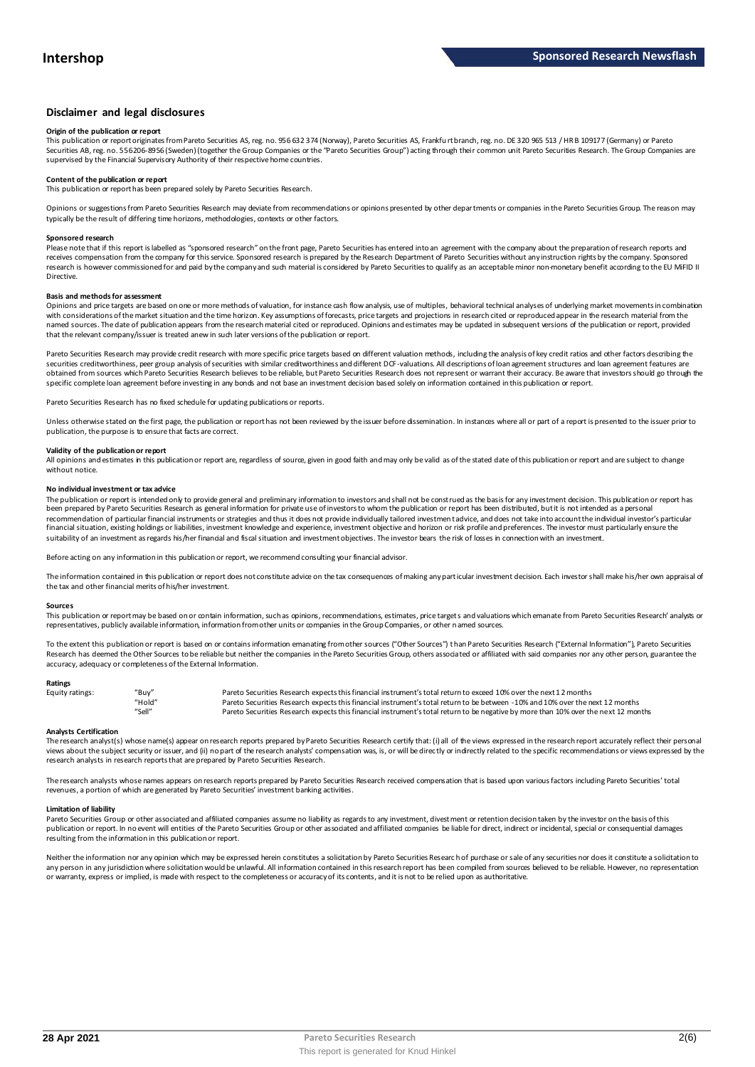## **Disclaimer and legal disclosures**

### **Origin of the publication or report**

This publication or report originates from Pareto Securities AS, reg. no. 956 632 374 (Norway), Pareto Securities AS, Frankfu rt branch, reg. no. DE 320 965 513 / HR B 109177 (Germany) or Pareto Securities AB, reg. no. 556206-8956 (Sweden) (together the Group Companies or the "Pareto Securities Group") acting through their common unit Pareto Securities Research. The Group Companies are<br>supervised by the Financial

## **Content of the publication or report**

This publication or report has been prepared solely by Pareto Securities Research.

Opinions or suggestions from Pareto Securities Research may deviate from recommendations or opinions presented by other departments or companies in the Pareto Securities Group. The reason may typically be the result of differing time horizons, methodologies, contexts or other factors.

#### **Sponsored research**

Please note that if this report is labelled as "sponsored research" on the front page, Pareto Securities has entered into an agreement with the company about the preparation of research reports and<br>receives compensation fr research is however commissioned for and paid by the company and such material is considered by Pareto Securities to qualify as an acceptable minor non-monetary benefit according to the EU MiFID II Directive.

#### **Basis and methods for assessment**

Opinions and price targets are based on one or more methods of valuation, for instance cash flow analysis, use of multiples, behavioral technical analyses of underlying market movements in combination with considerations of the market situation and the time horizon. Key assumptions of forecasts, price targets and projections in research cited or reproduced appear in the research material from the named sources. The date of publication appears from the research material cited or reproduced. Opinions and estimates may be updated in subsequent versions of the publication or report, provided that the relevant company/issuer is treated anew in such later versions of the publication or report.

Pareto Securities Research may provide credit research with more specific price targets based on different valuation methods, including the analysis of key credit ratios and other factors describing the securities creditworthiness, peer group analysis of securities with similar creditworthiness and different DCF-valuations. All descriptions of loan agreement structures and loan agreement features are obtained from sources which Pareto Securities Research believes to be reliable, but Pareto Securities Research does not represent or warrant their accuracy. Be aware that investors should go through the specific complete loan agreement before investing in any bonds and not base an investment decision based solely on information contained in this publication or report.

Pareto Securities Research has no fixed schedule for updating publications or reports.

Unless otherwise stated on the first page, the publication or report has not been reviewed by the issuer before dissemination. In instances where all or part of a report is presented to the issuer prior to publication, the purpose is to ensure that facts are correct.

## **Validity of the publication or report**

All opinions and estimates in this publication or report are, regardless of source, given in good faith and may only be valid as of the stated date of this publication or report and are subject to change without notice.

#### **No individual investment or tax advice**

The publication or report is intended only to provide general and preliminary information to investors and shall not be construed as the basis for any investment decision. This publication or report has<br>been prepared by Pa recommendation of particular financial instruments or strategies and thus it does not provide individually tailored investmen t advice, and does not take into account the individual investor's particular financial situation, existing holdings or liabilities, investment knowledge and experience, investment objective and horizon or risk profile and preferences. The investor must particularly ensure the suitability of an investment as regards his/her financial and fiscal situation and investment objectives. The investor bears the risk of losses in connection with an investment.

Before acting on any information in this publication or report, we recommend consulting your financial advisor.

The information contained in this publication or report does not constitute advice on the tax consequences of making any particular investment decision. Each investor shall make his/her own appraisal of the tax and other financial merits of his/her investment.

#### **Sources**

This publication or report may be based on or contain information, such as opinions, recommendations, estimates, price targets and valuations which emanate from Pareto Securities Research' analysts or representatives, publicly available information, information from other units or companies in the Group Companies, or other named sources.

To the extent this publication or report is based on or contains information emanating from other sources ("Other Sources") than Pareto Securities Research ("External Information"), Pareto Securities Research has deemed the Other Sources to be reliable but neither the companies in the Pareto Securities Group, others associated or affiliated with said companies nor any other person, guarantee the accuracy, adequacy or completeness of the External Information.

#### **Ratings**

| Equity ratings: | "Buy"  | Pareto Securities Research expects this financial instrument's total return to exceed 10% over the next 12 months                   |
|-----------------|--------|-------------------------------------------------------------------------------------------------------------------------------------|
|                 | "Hold" | Pareto Securities Research expects this financial instrument's total return to be between -10% and 10% over the next 12 months      |
|                 | "Sell" | Pareto Securities Research expects this financial instrument's total return to be negative by more than 10% over the next 12 months |

**Analysts Certification**<br>The research analystis) whose name(s) appear on research reports prepared by Pareto Securities Research certify that: (i) all of the views expressed in the research report accurately reflect their "Hold"<br>"Sell" Pareto Securities Research expects this financial instrument's total return to be between -10% and 10% over the next 12 months<br>"Sell" Pareto Securities Research expects this financial instrument's total retur research analysts in research reports that are prepared by Pareto Securities Research.

The research analysts whose names appears on research reports prepared by Pareto Securities Research received compensation that is based upon various factors including Pareto Securities' total revenues, a portion of which are generated by Pareto Securities' investment banking activities.

#### **Limitation of liability**

Pareto Securities Group or other associated and affiliated companies assume no liability as regards to any investment, divestment or retention decision taken by the investor on the basis of this publication or report. In no event will entities of the Pareto Securities Group or other associated and affiliated companies be liable for direct, indirect or incidental, special or consequential damages resulting from the information in this publication or report.

Neither the information nor any opinion which may be expressed herein constitutes a solicitation by Pareto Securities Research of purchase or sale of any securities nor does it constitute a solicitation to any person in any jurisdiction where solicitation would be unlawful. All information contained in this research report has been compiled from sources believed to be reliable. However, no representation or warranty, express or implied, is made with respect to the completeness or accuracy of its contents, and it is not to be relied upon as authoritative.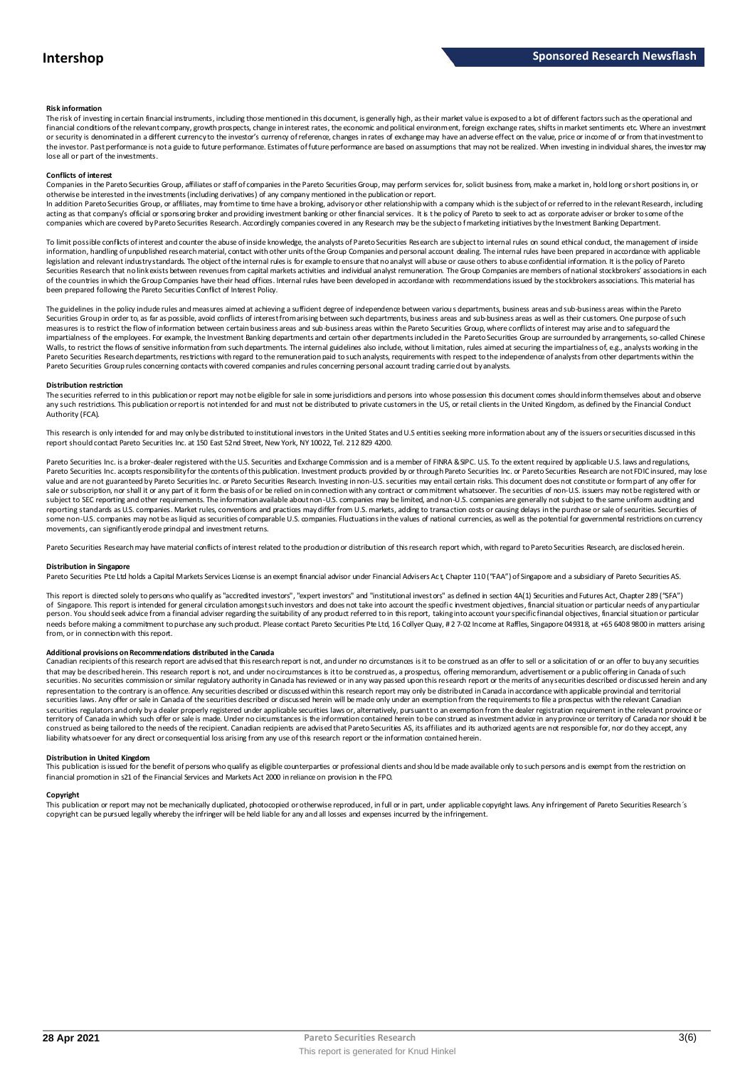#### **Risk information**

The risk of investing in certain financial instruments, including those mentioned in this document, is generally high, as their market value is exposed to a lot of different factors such as the operational and financial conditions of the relevant company, growth prospects, change in interest rates, the economic and political environment, foreign exchange rates, shifts in market sentiments etc. Where an investment or security is denominated in a different currency to the investor's currency of reference, changes in rates of exchange may have an adverse effect on the value, price or income of or from that investment to the investor. Past performance is not a guide to future performance. Estimates of future performance are based on assumptions that may not be realized. When investing in individual shares, the investor may lose all or part of the investments.

#### **Conflicts of interest**

Companies in the Pareto Securities Group, affiliates or staff of companies in the Pareto Securities Group, may perform services for, solicit business from, make a market in, hold long or short positions in, or otherwise be interested in the investments (including derivatives) of any company mentioned in the publication or report.<br>In addition Pareto Securities Group, or affiliates, may from time to time have a broking, advisory o

acting as that company's official or sponsoring broker and providing investment banking or other financial services. It is the policy of Pareto to seek to act as corporate adviser or broker to some of the companies which are covered by Pareto Securities Research. Accordingly companies covered in any Research may be the subject o f marketing initiatives by the Investment Banking Department.

To limit possible conflicts of interest and counter the abuse of inside knowledge, the analysts of Pareto Securities Research are subject to internal rules on sound ethical conduct, the management of inside information, handling of unpublished research material, contact with other units of the Group Companies and personal account dealing. The internal rules have been prepared in accordance with applicable legislation and relevant industry standards. The object of the internal rules is for example to ensure that no analyst will abuse or cause others to abuse confidential information. It is the policy of Pareto Securities Research that no link exists between revenues from capital markets activities and individual analyst remuneration. The Group Companies are members of national stockbrokers' associations in each of the countries in which the Group Companies have their head offices. Internal rules have been developed in accordance with recommendations issued by the stockbrokers associations. This material has been prepared following the Pareto Securities Conflict of Interest Policy.

The guidelines in the policy indude rules and measures aimed at achieving a sufficient degree of independence between various departments, business areas and sub-business areas within the Pareto Securities Group in order to, as far as possible, avoid conflicts of interest from arising between such departments, business areas and sub-business areas as well as their customers. One purpose of such measures is to restrict the flow of information between certain business areas and sub-business areas within the Pareto Securities Group, where conflicts of interest may arise and to safeguard the inpartialness of the empl The guidelines in the policy indude rules and measures aimed at achieving a sufficient degree of independence between various departments, business areas and sub-business areas within the Pareto<br>Securities Group in order t Pareto Securities Group rules concerning contacts with covered companies and rules concerning personal account trading carried out by analysts.

#### **Distribution restriction**

The securities referred to in this publication or report may not be eligible for sale in some jurisdictions and persons into whose possession this document comes should inform themselves about and observe Pareto Securities Group rules concerning contacts with covered companies and rules concerning personal account trading carried out by analysts.<br>Distribution restriction<br>The securities referred to in this publication or rep Authority (FCA).

This research is only intended for and may only be distributed to institutional investors in the United States and U.S entities seeking more information about any of the issuers or securities discussed in this report should contact Pareto Securities Inc. at 150 East 52nd Street, New York, NY 10022, Tel. 212 829 4200.

Pareto Securities Inc. is a broker-dealer registered with the U.S. Securities and Exchange Commission and is a member of FINRA & SPC. U.S. To the extent required by applicable U.S. laws and regulations, Pareto Securities Inc. accepts responsibility for the contents of this publication. Investment products provided by or through Pareto Securities Inc. or Pareto Securities Research are not FDIC insured, may lose<br>value and a sale or subscription, nor shall it or any part of it form the basis of or be relied on in connection with any contract or commitment whatsoever. The securities of non-U.S. issuers may not be registered with or subject to SEC reporting and other requirements. The information available about non-U.S. companies may be limited, and non-U.S. companies are generally not subject to the same unifom auditing and<br>reporting standards as U some non-U.S. companies may not be as liquid as securities of comparable U.S. companies. Fluctuations in the values of national currencies, as well as the potential for governmental restrictions on currency movements, can significantly erode principal and investment returns.

Pareto Securities Research may have material conflicts of interest related to the production or distribution of this research report which, with regard to Pareto Securities Research, are disclosed herein.

#### **Distribution in Singapore**

Pareto Securities Pte Ltd holds a Capital Markets Services License is an exempt financial advisor under Financial Advisers Ac t, Chapter 110 ("FAA") of Singapore and a subsidiary of Pareto Securities AS.

This report is directed solely to persons who qualify as "accredited investors", "expert investors" and "institutional investors" as defined in section 4A(1) Securities and Futures Act, Chapter 289 ("SFA") **Distribution in Singapore**<br>Pareto Securities Pte Ltd holds a Capital Markets Services License is an exempt financial advisor under Financial Advisers Act, Chapter 110 ("FAA") of Singapore and a subsidiary of Pareto Securi person. You should seek advice from a financial adviser regarding the suitability of any product referred to in this report, taking into account your specific financial objectives, financial situation or particular needs before making a commitment to purchase any such product. Please contact Pareto Securities Pte Ltd, 16 Collyer Quay, # 2 7-02 Income at Raffles, Singapore 049318, at +65 6408 9800 in matters arising<br>from, or in connec needs before making a commitment to purchase any such product. Please contact Pareto Securities Pte Ltd, 16 Collyer Quay, #2 7-02 Income at Raffles, Singapore 049318, at +65 6408 9800 in matters arisin<br>from, or in connecti

#### **Additional provisions on Recommendations distributed in the Canada**

That may be described herein. This research report are advised that this research report is not, and under no circumstances is it to be construed as an offer to sell or a solicitation of or an offer to buy any securities<br>t securities. No securities commission or similar regulatory authority in Canada has reviewed or in any way passed upon this research report or the merits of any securities described or discussed herein and any representation to the contrary is an offence. Any securities described or discussed within this research report may only be distributed in Canada in accordance with applicable provincial and territorial securities laws. Any offer or sale in Canada of the securities described or discussed herein will be made only under an exemption from the requirements to file a prospectus with the relevant Canadian securities regulators and only bya dealer properly registered under applicable securities laws or, alternatively, pursuant to an exemption from the dealer registration requirement in the relevant province or<br>territory of C construed as being tailored to the needs of the recipient. Canadian recipients are advised that Pareto Securities AS, its affiliates and its authorized agents are not responsible for, nor do they accept, any liability whatsoever for any direct or consequential loss arising from any use of this research report or the information contained herein.

### **Distribution in United Kingdom**

This publication is issued for the benefit of persons who qualify as eligible counterparties or professional dients and should be made available only to such persons and is exempt from the restriction on<br>financial promotio financial promotion in s21 of the Financial Services and Markets Act 2000 in reliance on provision in the FPO.

**Copyright**<br>This publication or report may not be mechanically duplicated, photomoied or otherwise reproduced, in full or in part, under annlicable copyright laws. Any infringement of Pareto Sequities Research's copyright can be pursued legally whereby the infringer will be held liable for any and all losses and expenses incurred by the infringement.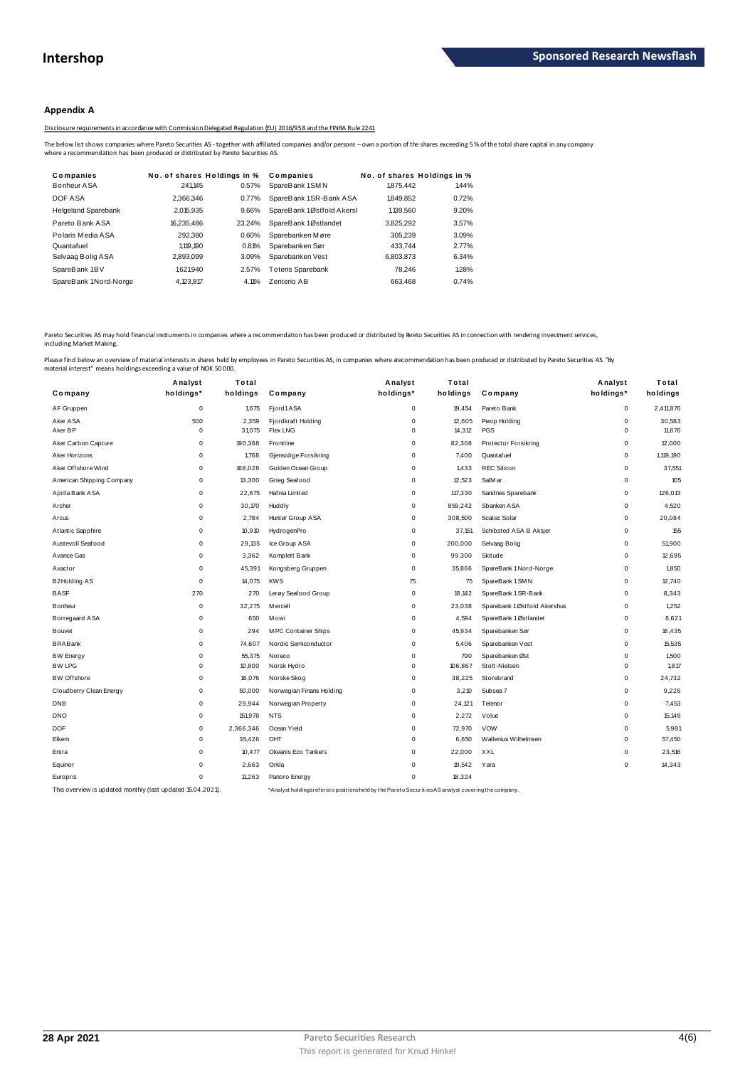## **Appendix A**

Disclosure requirements in accordance with Commission Delegated Regulation (EU) 2016/958 and the FINRA Rule 2241

| Companies                  | No. of shares Holdings in % |        | Companies                 | No. of shares Holdings in % |       |  |
|----------------------------|-----------------------------|--------|---------------------------|-----------------------------|-------|--|
| Bonheur ASA                | 241.145                     | 0.57%  | SpareBank 1SMN            | 1.875.442                   | 1.44% |  |
| DOF ASA                    | 2.366.346                   | 0.77%  | SpareBank 1SR-Bank ASA    | 1.849.852                   | 0.72% |  |
| <b>Helgeland Sparebank</b> | 2,015,935                   | 9.66%  | SpareBank 1Østfold Akersl | 1,139,560                   | 9.20% |  |
| Pareto Bank ASA            | 16.235.486                  | 23.24% | SpareBank 1Østlandet      | 3,825,292                   | 3.57% |  |
| Polaris Media ASA          | 292.380                     | 0.60%  | Sparebanken Møre          | 305.239                     | 3.09% |  |
| Quantafuel                 | 1,119,190                   | 0.81%  | Sparebanken Sør           | 433.744                     | 2.77% |  |
| Selvaag Bolig ASA          | 2,893,099                   | 3.09%  | Sparebanken Vest          | 6,803,873                   | 6.34% |  |
| SpareBank 1BV              | 1.621.940                   | 2.57%  | <b>Totens Sparebank</b>   | 78.246                      | 1.28% |  |
| SpareBank 1Nord-Norge      | 4.123.817                   | 4.11%  | Zenterio AB               | 663.468                     | 0.74% |  |
|                            |                             |        |                           |                             |       |  |

Pareto Securities AS may hold financial instruments in companies where a recommendation has been produced or distributed by Pareto Securities AS in connection with rendering investment services, including Market Making.

|                           | Analyst     | Total     |                          | Analyst     | Total    |                             | Analyst   | Total     |
|---------------------------|-------------|-----------|--------------------------|-------------|----------|-----------------------------|-----------|-----------|
| Company                   | holdings*   | holdings  | Company                  | holdings*   | holdings | Company                     | holdings* | holdings  |
| AF Gruppen                | $\mathbf 0$ | 1,675     | Fjord1ASA                | 0           | 19,454   | Pareto Bank                 | 0         | 2,411,876 |
| Aker ASA                  | 500         | 2,359     | Fjordkraft Holding       | $\pmb{0}$   | 12,605   | Pexip Holding               | 0         | 30,583    |
| Aker BP                   | $\Omega$    | 31,075    | <b>Flex LNG</b>          | $\mathbf 0$ | 14,312   | PGS                         | 0         | 11,676    |
| Aker Carbon Capture       | $\Omega$    | 190,368   | Frontline                | $\Omega$    | 82,308   | <b>Protector Forsikring</b> | 0         | 12,000    |
| Aker Horizons             | $\Omega$    | 1,768     | Gjensidige Forsikring    | $\pmb{0}$   | 7,400    | Quant af uel                | 0         | 1,119,190 |
| Aker Offshore Wind        | $\mathbf 0$ | 168,028   | Golden Ocean Group       | 0           | 1,433    | <b>REC Silicon</b>          | 0         | 37,551    |
| American Shipping Company | $\mathbf 0$ | 13,300    | Grieg Seafood            | $\pmb{0}$   | 12,523   | SalM ar                     | 0         | 105       |
| Aprila Bank ASA           | $\mathbf 0$ | 22,675    | Hafnia Limited           | $\mathbf 0$ | 117,330  | Sandnes Sparebank           | 0         | 126,013   |
| Archer                    | $\Omega$    | 30,170    | Huddly                   | $\mathbf 0$ | 859,242  | Sbanken ASA                 | 0         | 4,520     |
| Arcus                     | $\mathbf 0$ | 2,784     | Hunter Group ASA         | $\mathbf 0$ | 308,500  | Scatec Solar                | 0         | 20,084    |
| Atlantic Sapphire         | $\Omega$    | 10,910    | HydrogenPro              | $\pmb{0}$   | 37,151   | Schibsted ASA B Aksjer      | 0         | 155       |
| Austevoll Seafood         | $\mathbf 0$ | 29,135    | Ice Group ASA            | $\mathbf 0$ | 200,000  | Selvaag Bolig               | 0         | 51,900    |
| A vance Gas               | $\mathbf 0$ | 3,362     | Komplett Bank            | 0           | 99,300   | Skitude                     | 0         | 12,695    |
| Axactor                   | $\Omega$    | 45,391    | Kongsberg Gruppen        | $\pmb{0}$   | 35,866   | SpareBank 1 Nord-Norge      | 0         | 1,850     |
| B2Holding AS              | $\Omega$    | 14,075    | <b>KWS</b>               | 75          | 75       | SpareBank 1 SMN             | 0         | 12,740    |
| <b>BASF</b>               | 270         | 270       | Lerøy Seafood Group      | $\mathbf 0$ | 18,142   | SpareBank 1 SR-Bank         | 0         | 8,343     |
| Bonheur                   | $\Omega$    | 32,275    | M ercell                 | $\pmb{0}$   | 23,038   | Sparebank 1Østfold Akershus | 0         | 1,252     |
| Borregaard ASA            | $\Omega$    | 650       | <b>Mowi</b>              | $\mathbf 0$ | 4,594    | SpareBank 1Østlandet        | 0         | 8,621     |
| Bouvet                    | $\mathbf 0$ | 294       | M PC Container Ships     | $\pmb{0}$   | 45,934   | Sparebanken Sør             | 0         | 16,435    |
| <b>BRABank</b>            | $\mathbf 0$ | 74,607    | Nordic Semiconductor     | $\mathbf 0$ | 5,406    | Sparebanken Vest            | 0         | 15,535    |
| <b>BW Energy</b>          | $\mathbf 0$ | 55,375    | Noreco                   | $\mathbf 0$ | 790      | Sparebanken Øst             | 0         | 1,500     |
| <b>BW LPG</b>             | $\mathbf 0$ | 10,800    | Norsk Hydro              | $\mathbf 0$ | 106,867  | Stolt-Nielsen               | 0         | 1,817     |
| <b>BW</b> Offshore        | $\Omega$    | 16,076    | Norske Skog              | $\mathbf 0$ | 38,225   | Storebrand                  | 0         | 24,732    |
| Cloudberry Clean Energy   | $\mathbf 0$ | 50,000    | Norwegian Finans Holding | $\mathbf 0$ | 3,210    | Subsea 7                    | 0         | 9,226     |
| <b>DNB</b>                | $\mathbf 0$ | 29,944    | Norwegian Property       | $\mathbf 0$ | 24,121   | Telenor                     | 0         | 7,453     |
| <b>DNO</b>                | $\mathbf 0$ | 151,978   | <b>NTS</b>               | $\mathbf 0$ | 2,272    | Volue                       | 0         | 15,148    |
| <b>DOF</b>                | $\mathbf 0$ | 2,366,346 | Ocean Yield              | 0           | 72,970   | <b>VOW</b>                  | 0         | 5,981     |
| Elkem                     | $\mathbf 0$ | 35,426    | OHT                      | $\mathbf 0$ | 6,650    | Wallenius Wilhelmsen        | 0         | 57,450    |
| Entra                     | $\Omega$    | 10,477    | Okeanis Eco Tankers      | 0           | 22,000   | XXL                         | 0         | 23,516    |
| Equinor                   | $\Omega$    | 2,663     | Orkla                    | 0           | 19,542   | Yara                        | 0         | 14,343    |
| Europris                  | $\mathbf 0$ | 11,263    | Panoro Energy            | $\mathbf 0$ | 18,324   |                             |           |           |
|                           |             |           |                          |             |          |                             |           |           |

This overview is updated monthly (last updated 15.04.2021). \*Analyst holdings ref ers t o posit ions held by t he Paret o Securit ies AS analyst covering t he company.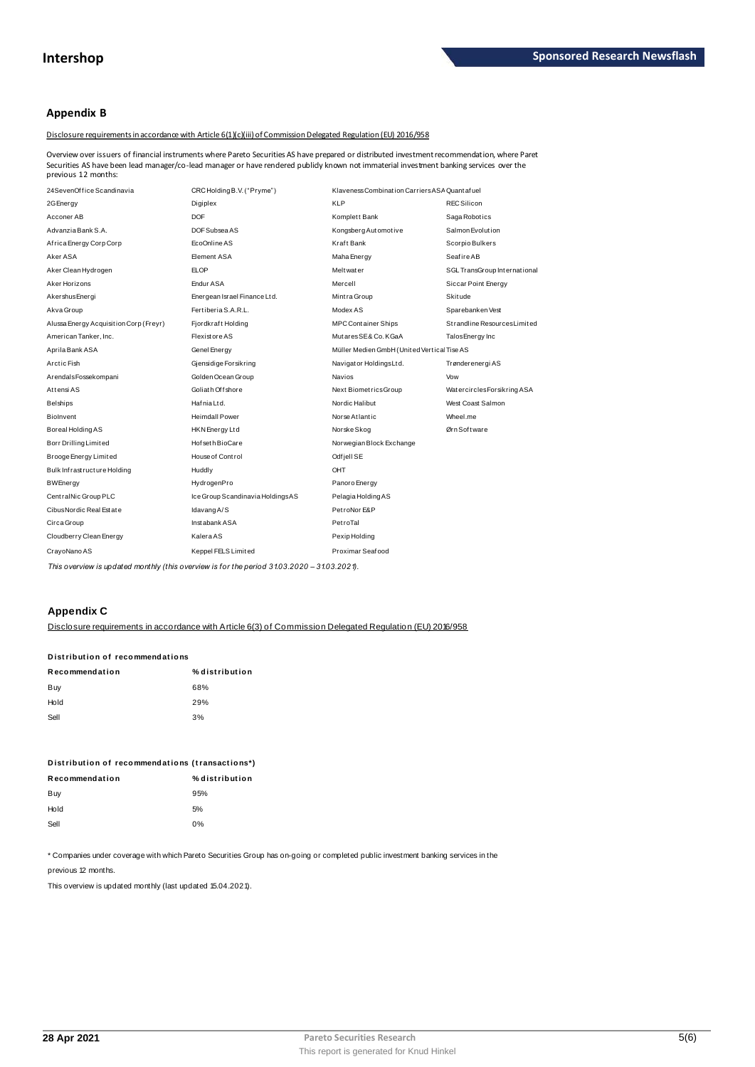## **Appendix B**

Disclosure requirements in accordance with Article 6(1)(c)(iii) of Commission Delegated Regulation (EU) 2016/958

Overview over issuers of financial instruments where Pareto Securities AS have prepared or distributed investment recommendation, where Paret example of the second of manual insurance where rare to becume sas have prepared or distributed investment recommendation, where Pa Securities AS have been lead manager/co-lead manager or have rendered publidy known not im

| 24SevenOffice Scandinavia              | CRC Holding B.V. ("Pryme")       | Klaveness Combination Carriers ASA Quantafuel |                              |
|----------------------------------------|----------------------------------|-----------------------------------------------|------------------------------|
| 2G Energy                              | Digiplex                         | <b>KLP</b>                                    | <b>REC Silicon</b>           |
| Acconer AB                             | DOF                              | Komplett Bank                                 | Saga Robotics                |
| Advanzia Bank S.A.                     | DOF Subsea AS                    | Kongsberg Automotive                          | Salmon Evolution             |
| Africa Energy Corp Corp                | EcoOnline AS                     | Kraft Bank                                    | Scorpio Bulkers              |
| Aker ASA                               | Element ASA                      | Maha Energy                                   | <b>Seafire AB</b>            |
| Aker Clean Hydrogen                    | <b>ELOP</b>                      | <b>Meltwater</b>                              | SGL TransGroup International |
| Aker Horizons                          | Endur ASA                        | Mercell                                       | Siccar Point Energy          |
| AkershusEnergi                         | Energean Israel Finance Ltd.     | Mintra Group                                  | <b>Skitude</b>               |
| Akva Group                             | Fertiberia S.A.R.L.              | Modex AS                                      | Sparebanken Vest             |
| Alussa Energy Acquisition Corp (Freyr) | Fjordkraft Holding               | <b>MPC Container Ships</b>                    | Strandline Resources Limited |
| American Tanker, Inc.                  | Flexistore AS                    | MutaresSE&Co.KGaA                             | Talos Energy Inc             |
| Aprila Bank ASA                        | Genel Energy                     | Müller Medien GmbH (United Vertica Tise AS    |                              |
| Arctic Fish                            | Gjensidige Forsikring            | Navigator HoldingsLtd.                        | Trønderenergi AS             |
| ArendalsFossekompani                   | Golden Ocean Group               | Navios                                        | Vow                          |
| Attensi AS                             | Goliath Offshore                 | Next BiometricsGroup                          | WatercirclesForsikring ASA   |
| <b>Belships</b>                        | Hafnia Ltd.                      | Nordic Halibut                                | West Coast Salmon            |
| Biolnvent                              | <b>Heimdall Power</b>            | Norse Atlantic                                | Wheel.me                     |
| Boreal Holding AS                      | HKN Energy Ltd                   | Norske Skog                                   | Ørn Software                 |
| Borr Drilling Limited                  | Hof seth BioCare                 | Norwegian Block Exchange                      |                              |
| Brooge Energy Limited                  | House of Control                 | Odf jell SE                                   |                              |
| Bulk Infrastructure Holding            | Huddly                           | OHT                                           |                              |
| <b>BWEnergy</b>                        | HydrogenPro                      | Panoro Energy                                 |                              |
| Central Nic Group PLC                  | Ice Group Scandinavia HoldingsAS | Pelagia Holding AS                            |                              |
| Cibus Nordic Real Estate               | Idavang A/S                      | PetroNor E&P                                  |                              |
| Circa Group                            | Instabank ASA                    | PetroTal                                      |                              |
| Cloudberry Clean Energy                | KaleraAS                         | Pexip Holding                                 |                              |
| CrayoNano AS                           | Keppel FELS Limited              | Proximar Seafood                              |                              |

This overview is updated monthly (this overview is for the period 31.03.2020 - 31.03.2021).

## **Appendix C**

Disclosure requirements in accordance with Article 6(3) of Commission Delegated Regulation (EU) 2016/958

| Distribution of recommendations |                |  |  |  |  |
|---------------------------------|----------------|--|--|--|--|
| Recommendation                  | % distribution |  |  |  |  |
| Buy                             | 68%            |  |  |  |  |
| Hold                            | 29%            |  |  |  |  |
| Sell                            | 3%             |  |  |  |  |
|                                 |                |  |  |  |  |

| Distribution of recommendations (transactions*) |                |  |  |  |
|-------------------------------------------------|----------------|--|--|--|
| Recommendation                                  | % distribution |  |  |  |
| Buy                                             | 95%            |  |  |  |
| Hold                                            | 5%             |  |  |  |
| Sell                                            | በ%             |  |  |  |

\* Companies under coverage with which Pareto Securities Group has on-going or completed public investment banking services in the

previous 12 months.

This overview is updated monthly (last updated 15.04.2021).